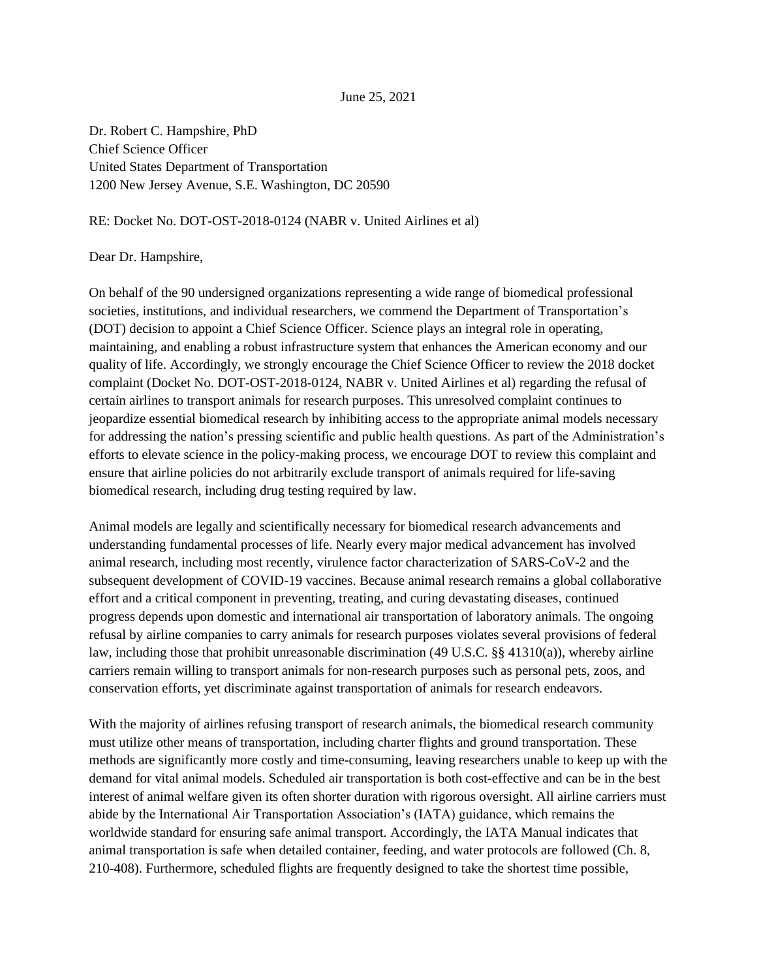## June 25, 2021

Dr. Robert C. Hampshire, PhD Chief Science Officer United States Department of Transportation 1200 New Jersey Avenue, S.E. Washington, DC 20590

## RE: Docket No. DOT-OST-2018-0124 (NABR v. United Airlines et al)

## Dear Dr. Hampshire,

On behalf of the 90 undersigned organizations representing a wide range of biomedical professional societies, institutions, and individual researchers, we commend the Department of Transportation's (DOT) decision to appoint a Chief Science Officer. Science plays an integral role in operating, maintaining, and enabling a robust infrastructure system that enhances the American economy and our quality of life. Accordingly, we strongly encourage the Chief Science Officer to review the 2018 docket complaint (Docket No. DOT-OST-2018-0124, NABR v. United Airlines et al) regarding the refusal of certain airlines to transport animals for research purposes. This unresolved complaint continues to jeopardize essential biomedical research by inhibiting access to the appropriate animal models necessary for addressing the nation's pressing scientific and public health questions. As part of the Administration's efforts to elevate science in the policy-making process, we encourage DOT to review this complaint and ensure that airline policies do not arbitrarily exclude transport of animals required for life-saving biomedical research, including drug testing required by law.

Animal models are legally and scientifically necessary for biomedical research advancements and understanding fundamental processes of life. Nearly every major medical advancement has involved animal research, including most recently, virulence factor characterization of SARS-CoV-2 and the subsequent development of COVID-19 vaccines. Because animal research remains a global collaborative effort and a critical component in preventing, treating, and curing devastating diseases, continued progress depends upon domestic and international air transportation of laboratory animals. The ongoing refusal by airline companies to carry animals for research purposes violates several provisions of federal law, including those that prohibit unreasonable discrimination (49 U.S.C. §§ 41310(a)), whereby airline carriers remain willing to transport animals for non-research purposes such as personal pets, zoos, and conservation efforts, yet discriminate against transportation of animals for research endeavors.

With the majority of airlines refusing transport of research animals, the biomedical research community must utilize other means of transportation, including charter flights and ground transportation. These methods are significantly more costly and time-consuming, leaving researchers unable to keep up with the demand for vital animal models. Scheduled air transportation is both cost-effective and can be in the best interest of animal welfare given its often shorter duration with rigorous oversight. All airline carriers must abide by the International Air Transportation Association's (IATA) guidance, which remains the worldwide standard for ensuring safe animal transport. Accordingly, the IATA Manual indicates that animal transportation is safe when detailed container, feeding, and water protocols are followed (Ch. 8, 210-408). Furthermore, scheduled flights are frequently designed to take the shortest time possible,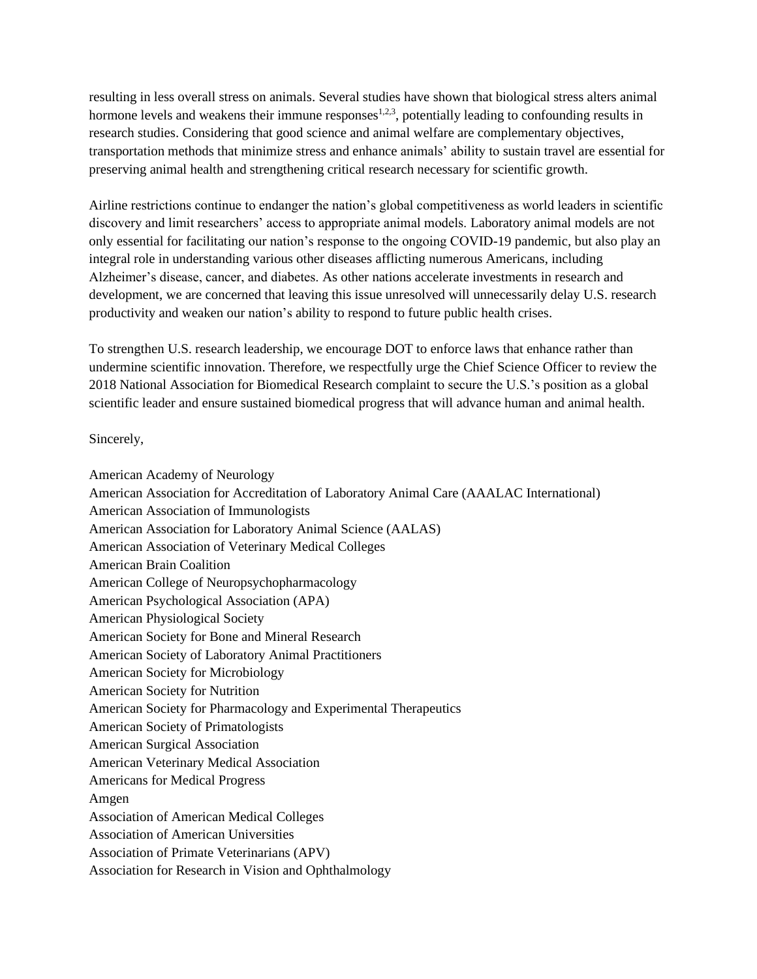resulting in less overall stress on animals. Several studies have shown that biological stress alters animal hormone levels and weakens their immune responses<sup>1,2,3</sup>, potentially leading to confounding results in research studies. Considering that good science and animal welfare are complementary objectives, transportation methods that minimize stress and enhance animals' ability to sustain travel are essential for preserving animal health and strengthening critical research necessary for scientific growth.

Airline restrictions continue to endanger the nation's global competitiveness as world leaders in scientific discovery and limit researchers' access to appropriate animal models. Laboratory animal models are not only essential for facilitating our nation's response to the ongoing COVID-19 pandemic, but also play an integral role in understanding various other diseases afflicting numerous Americans, including Alzheimer's disease, cancer, and diabetes. As other nations accelerate investments in research and development, we are concerned that leaving this issue unresolved will unnecessarily delay U.S. research productivity and weaken our nation's ability to respond to future public health crises.

To strengthen U.S. research leadership, we encourage DOT to enforce laws that enhance rather than undermine scientific innovation. Therefore, we respectfully urge the Chief Science Officer to review the 2018 National Association for Biomedical Research complaint to secure the U.S.'s position as a global scientific leader and ensure sustained biomedical progress that will advance human and animal health.

Sincerely,

American Academy of Neurology American Association for Accreditation of Laboratory Animal Care (AAALAC International) American Association of Immunologists American Association for Laboratory Animal Science (AALAS) American Association of Veterinary Medical Colleges American Brain Coalition American College of Neuropsychopharmacology American Psychological Association (APA) American Physiological Society American Society for Bone and Mineral Research American Society of Laboratory Animal Practitioners American Society for Microbiology American Society for Nutrition American Society for Pharmacology and Experimental Therapeutics American Society of Primatologists American Surgical Association American Veterinary Medical Association Americans for Medical Progress Amgen Association of American Medical Colleges Association of American Universities Association of Primate Veterinarians (APV) Association for Research in Vision and Ophthalmology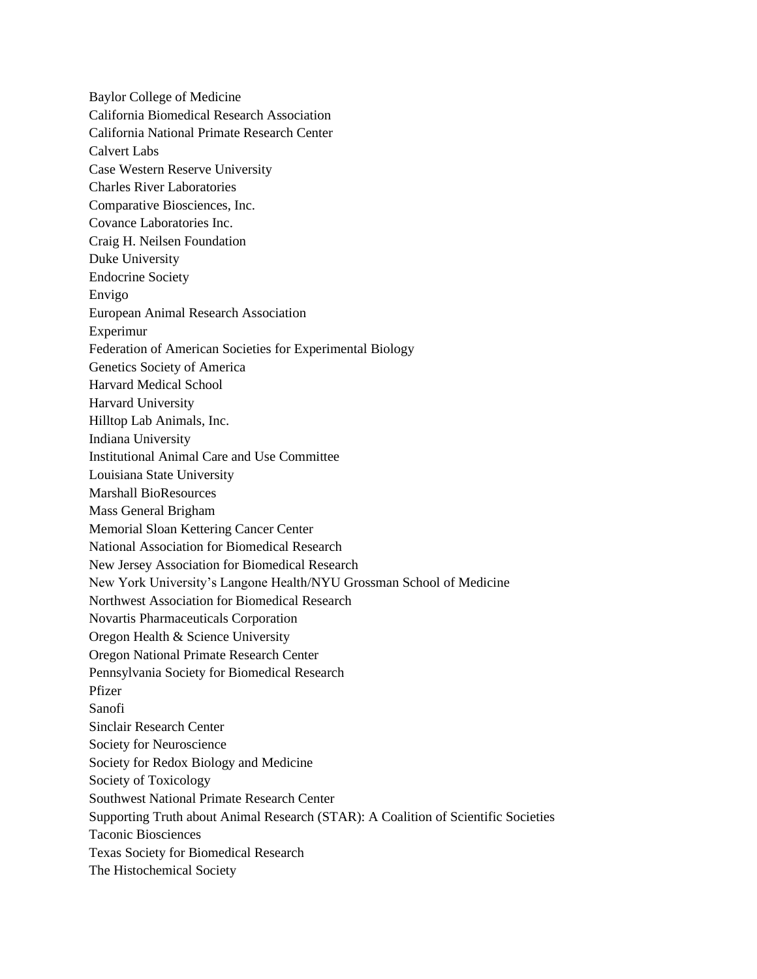Baylor College of Medicine California Biomedical Research Association California National Primate Research Center Calvert Labs Case Western Reserve University Charles River Laboratories Comparative Biosciences, Inc. Covance Laboratories Inc. Craig H. Neilsen Foundation Duke University Endocrine Society Envigo European Animal Research Association Experimur Federation of American Societies for Experimental Biology Genetics Society of America Harvard Medical School Harvard University Hilltop Lab Animals, Inc. Indiana University Institutional Animal Care and Use Committee Louisiana State University Marshall BioResources Mass General Brigham Memorial Sloan Kettering Cancer Center National Association for Biomedical Research New Jersey Association for Biomedical Research New York University's Langone Health/NYU Grossman School of Medicine Northwest Association for Biomedical Research Novartis Pharmaceuticals Corporation Oregon Health & Science University Oregon National Primate Research Center Pennsylvania Society for Biomedical Research Pfizer Sanofi Sinclair Research Center Society for Neuroscience Society for Redox Biology and Medicine Society of Toxicology Southwest National Primate Research Center Supporting Truth about Animal Research (STAR): A Coalition of Scientific Societies Taconic Biosciences Texas Society for Biomedical Research The Histochemical Society